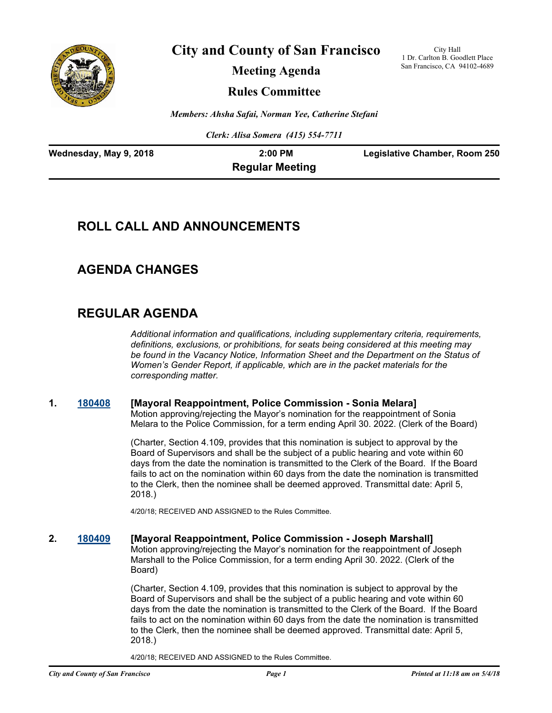

**City and County of San Francisco**

City Hall 1 Dr. Carlton B. Goodlett Place San Francisco, CA 94102-4689

**Meeting Agenda**

**Rules Committee**

*Members: Ahsha Safai, Norman Yee, Catherine Stefani*

*Clerk: Alisa Somera (415) 554-7711*

| Wednesday, May 9, 2018 | $2:00$ PM              | Legislative Chamber, Room 250 |
|------------------------|------------------------|-------------------------------|
|                        | <b>Regular Meeting</b> |                               |

# **ROLL CALL AND ANNOUNCEMENTS**

# **AGENDA CHANGES**

# **REGULAR AGENDA**

*Additional information and qualifications, including supplementary criteria, requirements, definitions, exclusions, or prohibitions, for seats being considered at this meeting may be found in the Vacancy Notice, Information Sheet and the Department on the Status of Women's Gender Report, if applicable, which are in the packet materials for the corresponding matter.*

## **1. [180408](http://sfgov.legistar.com/gateway.aspx?m=l&id=33277) [Mayoral Reappointment, Police Commission - Sonia Melara]**

Motion approving/rejecting the Mayor's nomination for the reappointment of Sonia Melara to the Police Commission, for a term ending April 30. 2022. (Clerk of the Board)

(Charter, Section 4.109, provides that this nomination is subject to approval by the Board of Supervisors and shall be the subject of a public hearing and vote within 60 days from the date the nomination is transmitted to the Clerk of the Board. If the Board fails to act on the nomination within 60 days from the date the nomination is transmitted to the Clerk, then the nominee shall be deemed approved. Transmittal date: April 5, 2018.)

4/20/18; RECEIVED AND ASSIGNED to the Rules Committee.

#### **2. [180409](http://sfgov.legistar.com/gateway.aspx?m=l&id=33278) [Mayoral Reappointment, Police Commission - Joseph Marshall]** Motion approving/rejecting the Mayor's nomination for the reappointment of Joseph Marshall to the Police Commission, for a term ending April 30. 2022. (Clerk of the Board)

(Charter, Section 4.109, provides that this nomination is subject to approval by the Board of Supervisors and shall be the subject of a public hearing and vote within 60 days from the date the nomination is transmitted to the Clerk of the Board. If the Board fails to act on the nomination within 60 days from the date the nomination is transmitted to the Clerk, then the nominee shall be deemed approved. Transmittal date: April 5, 2018.)

4/20/18; RECEIVED AND ASSIGNED to the Rules Committee.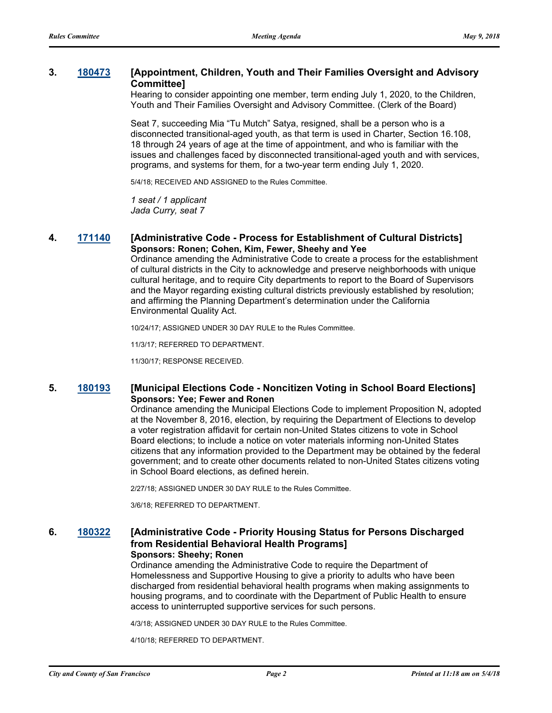## **3. [180473](http://sfgov.legistar.com/gateway.aspx?m=l&id=33342) [Appointment, Children, Youth and Their Families Oversight and Advisory Committee]**

Hearing to consider appointing one member, term ending July 1, 2020, to the Children, Youth and Their Families Oversight and Advisory Committee. (Clerk of the Board)

Seat 7, succeeding Mia "Tu Mutch" Satya, resigned, shall be a person who is a disconnected transitional-aged youth, as that term is used in Charter, Section 16.108, 18 through 24 years of age at the time of appointment, and who is familiar with the issues and challenges faced by disconnected transitional-aged youth and with services, programs, and systems for them, for a two-year term ending July 1, 2020.

5/4/18; RECEIVED AND ASSIGNED to the Rules Committee.

*1 seat / 1 applicant Jada Curry, seat 7*

## **4. [171140](http://sfgov.legistar.com/gateway.aspx?m=l&id=32682) [Administrative Code - Process for Establishment of Cultural Districts] Sponsors: Ronen; Cohen, Kim, Fewer, Sheehy and Yee**

Ordinance amending the Administrative Code to create a process for the establishment of cultural districts in the City to acknowledge and preserve neighborhoods with unique cultural heritage, and to require City departments to report to the Board of Supervisors and the Mayor regarding existing cultural districts previously established by resolution; and affirming the Planning Department's determination under the California Environmental Quality Act.

10/24/17; ASSIGNED UNDER 30 DAY RULE to the Rules Committee.

11/3/17; REFERRED TO DEPARTMENT.

11/30/17; RESPONSE RECEIVED.

## **5. [180193](http://sfgov.legistar.com/gateway.aspx?m=l&id=33062) [Municipal Elections Code - Noncitizen Voting in School Board Elections] Sponsors: Yee; Fewer and Ronen**

Ordinance amending the Municipal Elections Code to implement Proposition N, adopted at the November 8, 2016, election, by requiring the Department of Elections to develop a voter registration affidavit for certain non-United States citizens to vote in School Board elections; to include a notice on voter materials informing non-United States citizens that any information provided to the Department may be obtained by the federal government; and to create other documents related to non-United States citizens voting in School Board elections, as defined herein.

2/27/18; ASSIGNED UNDER 30 DAY RULE to the Rules Committee.

3/6/18; REFERRED TO DEPARTMENT.

## **6. [180322](http://sfgov.legistar.com/gateway.aspx?m=l&id=33191) [Administrative Code - Priority Housing Status for Persons Discharged from Residential Behavioral Health Programs] Sponsors: Sheehy; Ronen**

Ordinance amending the Administrative Code to require the Department of Homelessness and Supportive Housing to give a priority to adults who have been discharged from residential behavioral health programs when making assignments to housing programs, and to coordinate with the Department of Public Health to ensure access to uninterrupted supportive services for such persons.

4/3/18; ASSIGNED UNDER 30 DAY RULE to the Rules Committee.

4/10/18; REFERRED TO DEPARTMENT.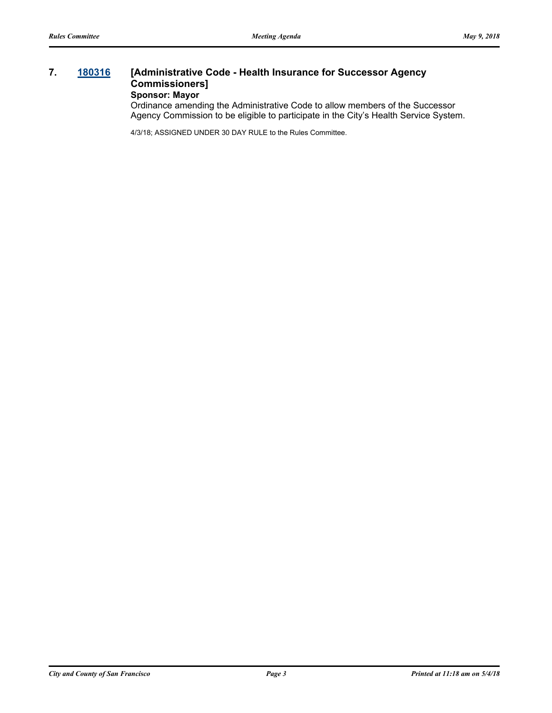## **7. [180316](http://sfgov.legistar.com/gateway.aspx?m=l&id=33185) [Administrative Code - Health Insurance for Successor Agency Commissioners] Sponsor: Mayor**

Ordinance amending the Administrative Code to allow members of the Successor Agency Commission to be eligible to participate in the City's Health Service System.

4/3/18; ASSIGNED UNDER 30 DAY RULE to the Rules Committee.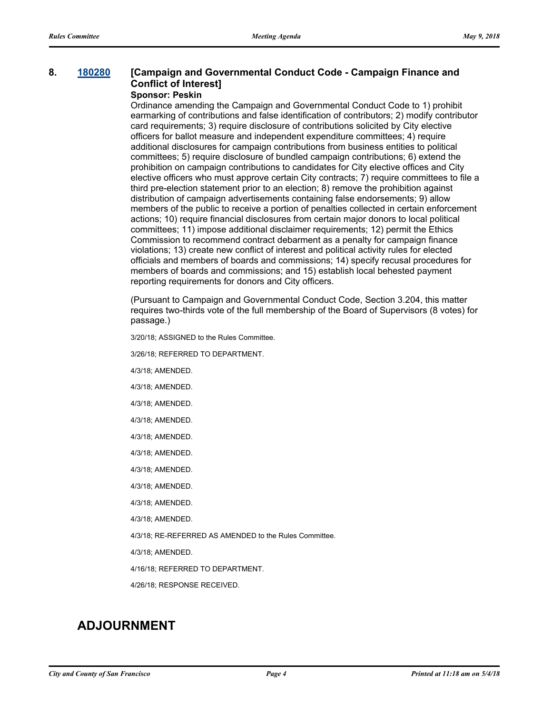## **8. [180280](http://sfgov.legistar.com/gateway.aspx?m=l&id=33149) [Campaign and Governmental Conduct Code - Campaign Finance and Conflict of Interest]**

## **Sponsor: Peskin**

Ordinance amending the Campaign and Governmental Conduct Code to 1) prohibit earmarking of contributions and false identification of contributors; 2) modify contributor card requirements; 3) require disclosure of contributions solicited by City elective officers for ballot measure and independent expenditure committees; 4) require additional disclosures for campaign contributions from business entities to political committees; 5) require disclosure of bundled campaign contributions; 6) extend the prohibition on campaign contributions to candidates for City elective offices and City elective officers who must approve certain City contracts; 7) require committees to file a third pre-election statement prior to an election; 8) remove the prohibition against distribution of campaign advertisements containing false endorsements; 9) allow members of the public to receive a portion of penalties collected in certain enforcement actions; 10) require financial disclosures from certain major donors to local political committees; 11) impose additional disclaimer requirements; 12) permit the Ethics Commission to recommend contract debarment as a penalty for campaign finance violations; 13) create new conflict of interest and political activity rules for elected officials and members of boards and commissions; 14) specify recusal procedures for members of boards and commissions; and 15) establish local behested payment reporting requirements for donors and City officers.

(Pursuant to Campaign and Governmental Conduct Code, Section 3.204, this matter requires two-thirds vote of the full membership of the Board of Supervisors (8 votes) for passage.)

3/20/18; ASSIGNED to the Rules Committee.

3/26/18; REFERRED TO DEPARTMENT.

4/3/18; AMENDED.

4/3/18; AMENDED.

4/3/18; AMENDED.

- 4/3/18; AMENDED.
- 4/3/18; AMENDED.
- 4/3/18; AMENDED.

4/3/18; AMENDED.

4/3/18; AMENDED.

4/3/18; AMENDED.

4/3/18; AMENDED.

4/3/18; RE-REFERRED AS AMENDED to the Rules Committee.

4/3/18; AMENDED.

4/16/18; REFERRED TO DEPARTMENT.

4/26/18; RESPONSE RECEIVED.

# **ADJOURNMENT**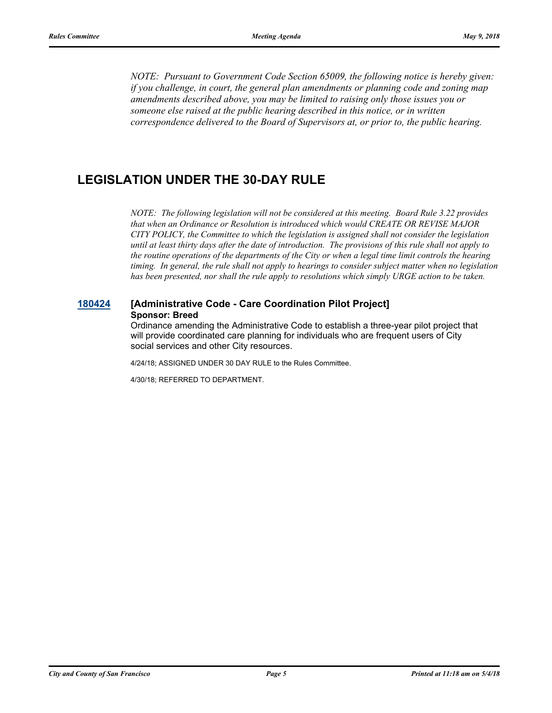*NOTE: Pursuant to Government Code Section 65009, the following notice is hereby given: if you challenge, in court, the general plan amendments or planning code and zoning map amendments described above, you may be limited to raising only those issues you or someone else raised at the public hearing described in this notice, or in written correspondence delivered to the Board of Supervisors at, or prior to, the public hearing.*

# **LEGISLATION UNDER THE 30-DAY RULE**

*NOTE: The following legislation will not be considered at this meeting. Board Rule 3.22 provides that when an Ordinance or Resolution is introduced which would CREATE OR REVISE MAJOR CITY POLICY, the Committee to which the legislation is assigned shall not consider the legislation until at least thirty days after the date of introduction. The provisions of this rule shall not apply to the routine operations of the departments of the City or when a legal time limit controls the hearing timing. In general, the rule shall not apply to hearings to consider subject matter when no legislation has been presented, nor shall the rule apply to resolutions which simply URGE action to be taken.*

## **[180424](http://sfgov.legistar.com/gateway.aspx?m=l&id=33293) [Administrative Code - Care Coordination Pilot Project] Sponsor: Breed**

Ordinance amending the Administrative Code to establish a three-year pilot project that will provide coordinated care planning for individuals who are frequent users of City social services and other City resources.

4/24/18; ASSIGNED UNDER 30 DAY RULE to the Rules Committee.

4/30/18; REFERRED TO DEPARTMENT.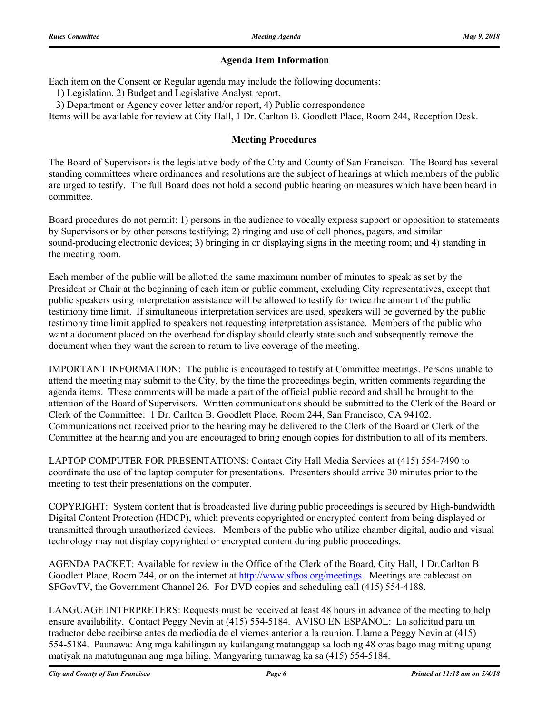## **Agenda Item Information**

Each item on the Consent or Regular agenda may include the following documents:

1) Legislation, 2) Budget and Legislative Analyst report,

3) Department or Agency cover letter and/or report, 4) Public correspondence

Items will be available for review at City Hall, 1 Dr. Carlton B. Goodlett Place, Room 244, Reception Desk.

## **Meeting Procedures**

The Board of Supervisors is the legislative body of the City and County of San Francisco. The Board has several standing committees where ordinances and resolutions are the subject of hearings at which members of the public are urged to testify. The full Board does not hold a second public hearing on measures which have been heard in committee.

Board procedures do not permit: 1) persons in the audience to vocally express support or opposition to statements by Supervisors or by other persons testifying; 2) ringing and use of cell phones, pagers, and similar sound-producing electronic devices; 3) bringing in or displaying signs in the meeting room; and 4) standing in the meeting room.

Each member of the public will be allotted the same maximum number of minutes to speak as set by the President or Chair at the beginning of each item or public comment, excluding City representatives, except that public speakers using interpretation assistance will be allowed to testify for twice the amount of the public testimony time limit. If simultaneous interpretation services are used, speakers will be governed by the public testimony time limit applied to speakers not requesting interpretation assistance. Members of the public who want a document placed on the overhead for display should clearly state such and subsequently remove the document when they want the screen to return to live coverage of the meeting.

IMPORTANT INFORMATION: The public is encouraged to testify at Committee meetings. Persons unable to attend the meeting may submit to the City, by the time the proceedings begin, written comments regarding the agenda items. These comments will be made a part of the official public record and shall be brought to the attention of the Board of Supervisors. Written communications should be submitted to the Clerk of the Board or Clerk of the Committee: 1 Dr. Carlton B. Goodlett Place, Room 244, San Francisco, CA 94102. Communications not received prior to the hearing may be delivered to the Clerk of the Board or Clerk of the Committee at the hearing and you are encouraged to bring enough copies for distribution to all of its members.

LAPTOP COMPUTER FOR PRESENTATIONS: Contact City Hall Media Services at (415) 554-7490 to coordinate the use of the laptop computer for presentations. Presenters should arrive 30 minutes prior to the meeting to test their presentations on the computer.

COPYRIGHT: System content that is broadcasted live during public proceedings is secured by High-bandwidth Digital Content Protection (HDCP), which prevents copyrighted or encrypted content from being displayed or transmitted through unauthorized devices. Members of the public who utilize chamber digital, audio and visual technology may not display copyrighted or encrypted content during public proceedings.

AGENDA PACKET: Available for review in the Office of the Clerk of the Board, City Hall, 1 Dr.Carlton B Goodlett Place, Room 244, or on the internet at http://www.sfbos.org/meetings. Meetings are cablecast on SFGovTV, the Government Channel 26. For DVD copies and scheduling call (415) 554-4188.

LANGUAGE INTERPRETERS: Requests must be received at least 48 hours in advance of the meeting to help ensure availability. Contact Peggy Nevin at (415) 554-5184. AVISO EN ESPAÑOL: La solicitud para un traductor debe recibirse antes de mediodía de el viernes anterior a la reunion. Llame a Peggy Nevin at (415) 554-5184. Paunawa: Ang mga kahilingan ay kailangang matanggap sa loob ng 48 oras bago mag miting upang matiyak na matutugunan ang mga hiling. Mangyaring tumawag ka sa (415) 554-5184.